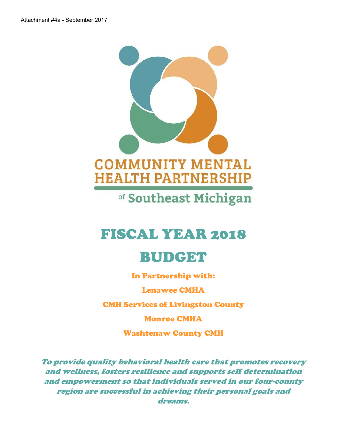

of Southeast Michigan

# FISCAL YEAR 2018

# BUDGET

In Partnership with:

Lenawee CMHA

CMH Services of Livingston County

Monroe CMHA

Washtenaw County CMH

*To provide quality behavioral health care that promotes recovery and wellness, fosters resilience and supports self determination and empowerment so that individuals served in our four-county region are successful in achieving their personal goals and dreams.*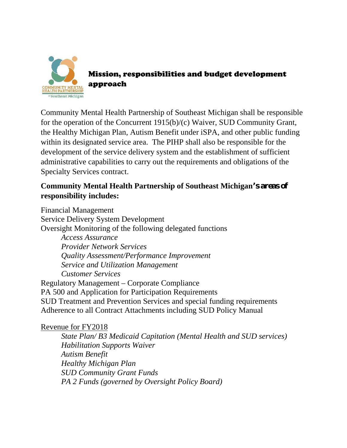

Mission, responsibilities and budget development approach

Community Mental Health Partnership of Southeast Michigan shall be responsible for the operation of the Concurrent 1915(b)/(c) Waiver, SUD Community Grant, the Healthy Michigan Plan, Autism Benefit under iSPA, and other public funding within its designated service area. The PIHP shall also be responsible for the development of the service delivery system and the establishment of sufficient administrative capabilities to carry out the requirements and obligations of the Specialty Services contract.

## **Community Mental Health Partnership of Southeast Michigan's areas of responsibility includes:**

Financial Management Service Delivery System Development Oversight Monitoring of the following delegated functions *Access Assurance Provider Network Services Quality Assessment/Performance Improvement Service and Utilization Management Customer Services* Regulatory Management – Corporate Compliance PA 500 and Application for Participation Requirements SUD Treatment and Prevention Services and special funding requirements Adherence to all Contract Attachments including SUD Policy Manual

### Revenue for FY2018

*State Plan/ B3 Medicaid Capitation (Mental Health and SUD services) Habilitation Supports Waiver Autism Benefit Healthy Michigan Plan SUD Community Grant Funds PA 2 Funds (governed by Oversight Policy Board)*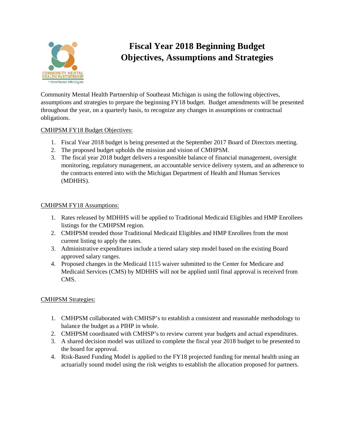

# **Fiscal Year 2018 Beginning Budget Objectives, Assumptions and Strategies**

Community Mental Health Partnership of Southeast Michigan is using the following objectives, assumptions and strategies to prepare the beginning FY18 budget. Budget amendments will be presented throughout the year, on a quarterly basis, to recognize any changes in assumptions or contractual obligations.

#### CMHPSM FY18 Budget Objectives:

- 1. Fiscal Year 2018 budget is being presented at the September 2017 Board of Directors meeting.
- 2. The proposed budget upholds the mission and vision of CMHPSM.
- 3. The fiscal year 2018 budget delivers a responsible balance of financial management, oversight monitoring, regulatory management, an accountable service delivery system, and an adherence to the contracts entered into with the Michigan Department of Health and Human Services (MDHHS).

#### CMHPSM FY18 Assumptions:

- 1. Rates released by MDHHS will be applied to Traditional Medicaid Eligibles and HMP Enrollees listings for the CMHPSM region.
- 2. CMHPSM trended those Traditional Medicaid Eligibles and HMP Enrollees from the most current listing to apply the rates.
- 3. Administrative expenditures include a tiered salary step model based on the existing Board approved salary ranges.
- 4. Proposed changes in the Medicaid 1115 waiver submitted to the Center for Medicare and Medicaid Services (CMS) by MDHHS will not be applied until final approval is received from CMS.

#### CMHPSM Strategies:

- 1. CMHPSM collaborated with CMHSP's to establish a consistent and reasonable methodology to balance the budget as a PIHP in whole.
- 2. CMHPSM coordinated with CMHSP's to review current year budgets and actual expenditures.
- 3. A shared decision model was utilized to complete the fiscal year 2018 budget to be presented to the board for approval.
- 4. Risk-Based Funding Model is applied to the FY18 projected funding for mental health using an actuarially sound model using the risk weights to establish the allocation proposed for partners.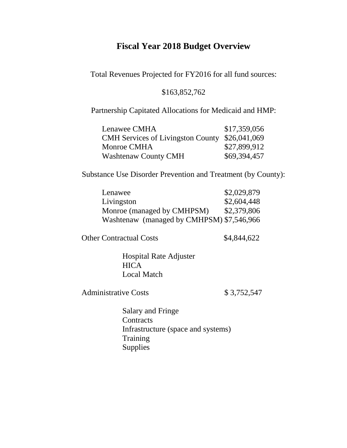### **Fiscal Year 2018 Budget Overview**

Total Revenues Projected for FY2016 for all fund sources:

#### \$163,852,762

Partnership Capitated Allocations for Medicaid and HMP:

| Lenawee CMHA                                   | \$17,359,056 |
|------------------------------------------------|--------------|
| CMH Services of Livingston County \$26,041,069 |              |
| Monroe CMHA                                    | \$27,899,912 |
| <b>Washtenaw County CMH</b>                    | \$69,394,457 |

Substance Use Disorder Prevention and Treatment (by County):

| Lenawee                                   | \$2,029,879 |
|-------------------------------------------|-------------|
| Livingston                                | \$2,604,448 |
| Monroe (managed by CMHPSM)                | \$2,379,806 |
| Washtenaw (managed by CMHPSM) \$7,546,966 |             |

Other Contractual Costs \$4,844,622

Hospital Rate Adjuster **HICA** Local Match

Administrative Costs \$ 3,752,547

Salary and Fringe **Contracts** Infrastructure (space and systems) **Training** Supplies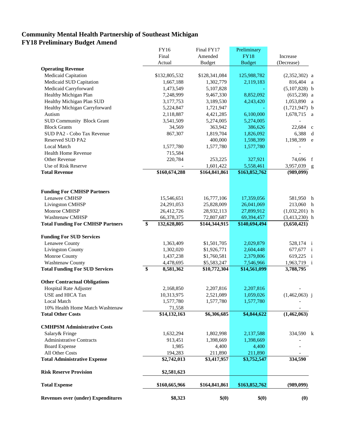#### **Community Mental Health Partnership of Southeast Michigan FY18 Preliminary Budget Amend**

|                                           | FY16              | Final FY17    | Preliminary   |                         |
|-------------------------------------------|-------------------|---------------|---------------|-------------------------|
|                                           | Final             | Amended       | <b>FY18</b>   | Increase                |
|                                           | Actual            | <b>Budget</b> | <b>Budget</b> | (Decrease)              |
| <b>Operating Revenue</b>                  |                   |               |               |                         |
| Medicaid Capitation                       | \$132,805,532     | \$128,341,084 | 125,988,782   | $(2,352,302)$ a         |
| Medicaid SUD Capitation                   | 1,667,188         | 1,302,779     | 2,119,183     | 816,404 a               |
| Medicaid Carryforward                     | 1,473,549         | 5,107,828     |               | $(5,107,828)$ b         |
| Healthy Michigan Plan                     | 7,248,999         | 9,467,330     | 8,852,092     | $(615,238)$ a           |
| Healthy Michigan Plan SUD                 | 3,177,753         | 3,189,530     | 4,243,420     | 1,053,890 a             |
| Healthy Michigan Carryforward             | 5,224,847         | 1,721,947     |               | $(1,721,947)$ b         |
| Autism                                    | 2,118,887         | 4,421,285     | 6,100,000     | 1,678,715<br>a          |
| <b>SUD Community Block Grant</b>          | 3,541,509         | 5,274,005     | 5,274,005     |                         |
| <b>Block Grants</b>                       | 34,569            | 363,942       | 386,626       | 22,684<br>$\mathbf{c}$  |
| SUD PA2 - Cobo Tax Revenue                | 867,307           | 1,819,704     | 1,826,092     | 6,388                   |
| <b>Reserved SUD PA2</b>                   |                   | 400,000       | 1,598,399     | 1,198,399               |
| Local Match                               | 1,577,780         | 1,577,780     | 1,577,780     |                         |
| <b>Health Home Revenue</b>                | 715,584           |               |               |                         |
| Other Revenue                             | 220,784           | 253,225       | 327,921       | 74,696 f                |
| Use of Risk Reserve                       |                   | 1,601,422     | 5,558,461     | 3,957,039 g             |
| <b>Total Revenue</b>                      | \$160,674,288     | \$164,841,861 | \$163,852,762 | (989, 099)              |
|                                           |                   |               |               |                         |
| <b>Funding For CMHSP Partners</b>         |                   |               |               |                         |
| Lenawee CMHSP                             | 15,546,651        | 16,777,106    | 17,359,056    | 581,950 h               |
| <b>Livingston CMHSP</b>                   | 24,291,053        | 25,828,009    | 26,041,069    | 213,060 h               |
| Monroe CMHSP                              | 26,412,726        | 28,932,113    | 27,899,912    | $(1,032,201)$ h         |
| Washtenaw CMHSP                           | 66,378,375        | 72,807,687    | 69,394,457    | $(3,413,230)$ h         |
| <b>Total Funding For CMHSP Partners</b>   | \$<br>132,628,805 | \$144,344,915 | \$140,694,494 | (3,650,421)             |
|                                           |                   |               |               |                         |
| <b>Funding For SUD Services</b>           |                   |               |               |                         |
| Lenawee County                            | 1,363,409         | \$1,501,705   | 2,029,879     | 528,174 i               |
| <b>Livingston County</b>                  | 1,302,020         | \$1,926,771   | 2,604,448     | 677,677 i               |
| Monroe County                             | 1,437,238         | \$1,760,581   | 2,379,806     | 619,225<br>$\mathbf{i}$ |
| Washtenaw County                          | 4,478,695         | \$5,583,247   | 7,546,966     | 1,963,719 i             |
| <b>Total Funding For SUD Services</b>     | \$<br>8,581,362   | \$10,772,304  | \$14,561,099  | 3,788,795               |
| <b>Other Contractual Obligations</b>      |                   |               |               |                         |
| Hospital Rate Adjuster                    | 2,168,850         | 2,207,816     | 2,207,816     |                         |
| USE and HICA Tax                          | 10,313,975        | 2,521,089     | 1,059,026     | $(1,462,063)$ j         |
| Local Match                               | 1,577,780         | 1,577,780     | 1,577,780     |                         |
| 10% Health Home Match Washtenaw           | 71,558            |               |               |                         |
| <b>Total Other Costs</b>                  | \$14,132,163      | \$6,306,685   | \$4,844,622   | (1,462,063)             |
| <b>CMHPSM Administrative Costs</b>        |                   |               |               |                         |
| Salary& Fringe                            |                   |               |               |                         |
| <b>Administrative Contracts</b>           | 1,632,294         | 1,802,998     | 2,137,588     | 334,590 k               |
|                                           | 913,451           | 1,398,669     | 1,398,669     |                         |
| <b>Board Expense</b>                      | 1,985             | 4,400         | 4,400         |                         |
| All Other Costs                           | 194,283           | 211,890       | 211,890       |                         |
| <b>Total Administrative Expense</b>       | \$2,742,013       | \$3,417,957   | \$3,752,547   | 334,590                 |
| <b>Risk Reserve Provision</b>             | \$2,581,623       |               |               |                         |
| <b>Total Expense</b>                      | \$160,665,966     | \$164,841,861 | \$163,852,762 | (989,099)               |
| <b>Revenues over (under) Expenditures</b> | \$8,323           | \$(0)         | \$(0)         | (0)                     |
|                                           |                   |               |               |                         |